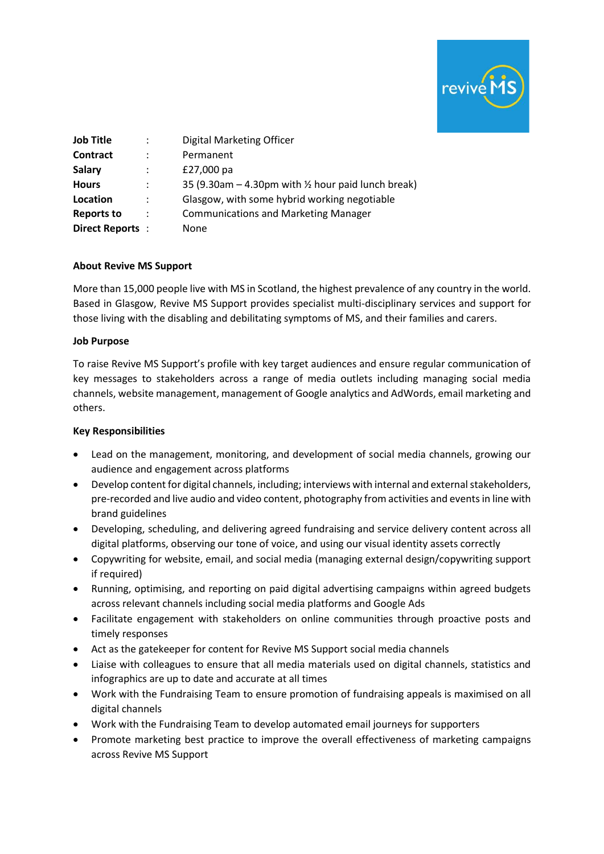

| <b>Job Title</b>  |                | Digital Marketing Officer                                       |
|-------------------|----------------|-----------------------------------------------------------------|
| Contract          | :              | Permanent                                                       |
| <b>Salary</b>     | :              | £27,000 pa                                                      |
| <b>Hours</b>      | ÷              | 35 (9.30am $-$ 4.30pm with $\frac{1}{2}$ hour paid lunch break) |
| Location          | ÷              | Glasgow, with some hybrid working negotiable                    |
| <b>Reports to</b> | $\ddot{\cdot}$ | <b>Communications and Marketing Manager</b>                     |
| Direct Reports:   |                | None                                                            |

#### **About Revive MS Support**

More than 15,000 people live with MS in Scotland, the highest prevalence of any country in the world. Based in Glasgow, Revive MS Support provides specialist multi-disciplinary services and support for those living with the disabling and debilitating symptoms of MS, and their families and carers.

#### **Job Purpose**

To raise Revive MS Support's profile with key target audiences and ensure regular communication of key messages to stakeholders across a range of media outlets including managing social media channels, website management, management of Google analytics and AdWords, email marketing and others.

### **Key Responsibilities**

- Lead on the management, monitoring, and development of social media channels, growing our audience and engagement across platforms
- Develop content for digital channels, including; interviews with internal and external stakeholders, pre-recorded and live audio and video content, photography from activities and events in line with brand guidelines
- Developing, scheduling, and delivering agreed fundraising and service delivery content across all digital platforms, observing our tone of voice, and using our visual identity assets correctly
- Copywriting for website, email, and social media (managing external design/copywriting support if required)
- Running, optimising, and reporting on paid digital advertising campaigns within agreed budgets across relevant channels including social media platforms and Google Ads
- Facilitate engagement with stakeholders on online communities through proactive posts and timely responses
- Act as the gatekeeper for content for Revive MS Support social media channels
- Liaise with colleagues to ensure that all media materials used on digital channels, statistics and infographics are up to date and accurate at all times
- Work with the Fundraising Team to ensure promotion of fundraising appeals is maximised on all digital channels
- Work with the Fundraising Team to develop automated email journeys for supporters
- Promote marketing best practice to improve the overall effectiveness of marketing campaigns across Revive MS Support